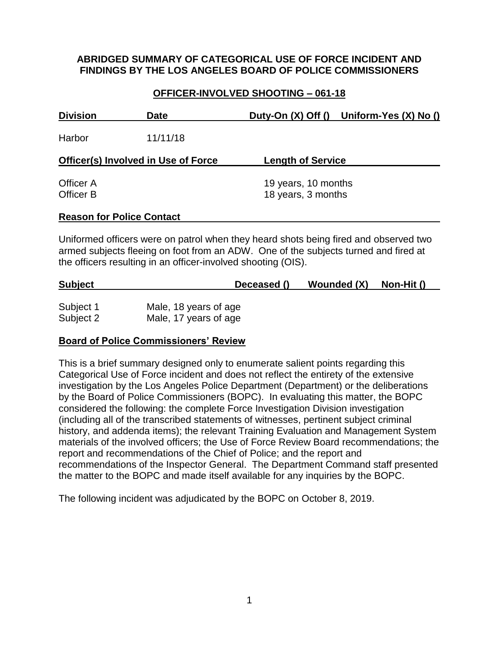## **ABRIDGED SUMMARY OF CATEGORICAL USE OF FORCE INCIDENT AND FINDINGS BY THE LOS ANGELES BOARD OF POLICE COMMISSIONERS**

# **OFFICER-INVOLVED SHOOTING – 061-18**

| <b>Division</b>                            | <b>Date</b> | Duty-On $(X)$ Off $()$ Uniform-Yes $(X)$ No $()$ |  |
|--------------------------------------------|-------------|--------------------------------------------------|--|
| Harbor                                     | 11/11/18    |                                                  |  |
| <b>Officer(s) Involved in Use of Force</b> |             | <b>Length of Service</b>                         |  |
| Officer A<br><b>Officer B</b>              |             | 19 years, 10 months<br>18 years, 3 months        |  |
| <b>Reason for Police Contact</b>           |             |                                                  |  |

Uniformed officers were on patrol when they heard shots being fired and observed two armed subjects fleeing on foot from an ADW. One of the subjects turned and fired at the officers resulting in an officer-involved shooting (OIS).

# **Subject Deceased () Wounded (X) Non-Hit ()**

| Subject 1 | Male, 18 years of age |
|-----------|-----------------------|
| Subject 2 | Male, 17 years of age |

## **Board of Police Commissioners' Review**

This is a brief summary designed only to enumerate salient points regarding this Categorical Use of Force incident and does not reflect the entirety of the extensive investigation by the Los Angeles Police Department (Department) or the deliberations by the Board of Police Commissioners (BOPC). In evaluating this matter, the BOPC considered the following: the complete Force Investigation Division investigation (including all of the transcribed statements of witnesses, pertinent subject criminal history, and addenda items); the relevant Training Evaluation and Management System materials of the involved officers; the Use of Force Review Board recommendations; the report and recommendations of the Chief of Police; and the report and recommendations of the Inspector General. The Department Command staff presented the matter to the BOPC and made itself available for any inquiries by the BOPC.

The following incident was adjudicated by the BOPC on October 8, 2019.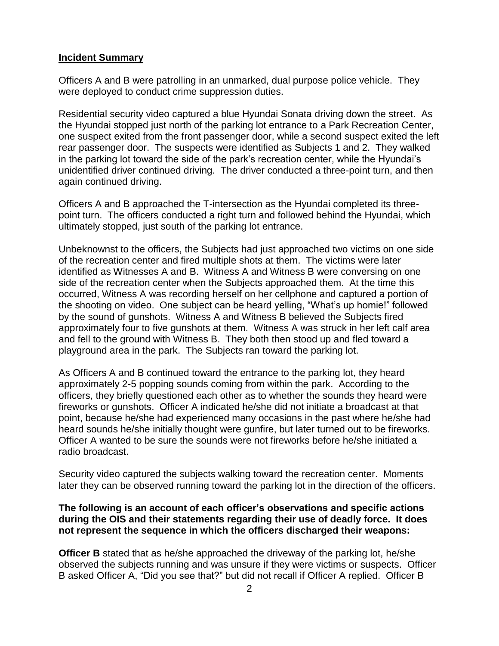#### **Incident Summary**

Officers A and B were patrolling in an unmarked, dual purpose police vehicle. They were deployed to conduct crime suppression duties.

Residential security video captured a blue Hyundai Sonata driving down the street. As the Hyundai stopped just north of the parking lot entrance to a Park Recreation Center, one suspect exited from the front passenger door, while a second suspect exited the left rear passenger door. The suspects were identified as Subjects 1 and 2. They walked in the parking lot toward the side of the park's recreation center, while the Hyundai's unidentified driver continued driving. The driver conducted a three-point turn, and then again continued driving.

Officers A and B approached the T-intersection as the Hyundai completed its threepoint turn. The officers conducted a right turn and followed behind the Hyundai, which ultimately stopped, just south of the parking lot entrance.

Unbeknownst to the officers, the Subjects had just approached two victims on one side of the recreation center and fired multiple shots at them. The victims were later identified as Witnesses A and B. Witness A and Witness B were conversing on one side of the recreation center when the Subjects approached them. At the time this occurred, Witness A was recording herself on her cellphone and captured a portion of the shooting on video. One subject can be heard yelling, "What's up homie!" followed by the sound of gunshots. Witness A and Witness B believed the Subjects fired approximately four to five gunshots at them. Witness A was struck in her left calf area and fell to the ground with Witness B. They both then stood up and fled toward a playground area in the park. The Subjects ran toward the parking lot.

As Officers A and B continued toward the entrance to the parking lot, they heard approximately 2-5 popping sounds coming from within the park. According to the officers, they briefly questioned each other as to whether the sounds they heard were fireworks or gunshots. Officer A indicated he/she did not initiate a broadcast at that point, because he/she had experienced many occasions in the past where he/she had heard sounds he/she initially thought were gunfire, but later turned out to be fireworks. Officer A wanted to be sure the sounds were not fireworks before he/she initiated a radio broadcast.

Security video captured the subjects walking toward the recreation center. Moments later they can be observed running toward the parking lot in the direction of the officers.

## **The following is an account of each officer's observations and specific actions during the OIS and their statements regarding their use of deadly force. It does not represent the sequence in which the officers discharged their weapons:**

**Officer B** stated that as he/she approached the driveway of the parking lot, he/she observed the subjects running and was unsure if they were victims or suspects. Officer B asked Officer A, "Did you see that?" but did not recall if Officer A replied. Officer B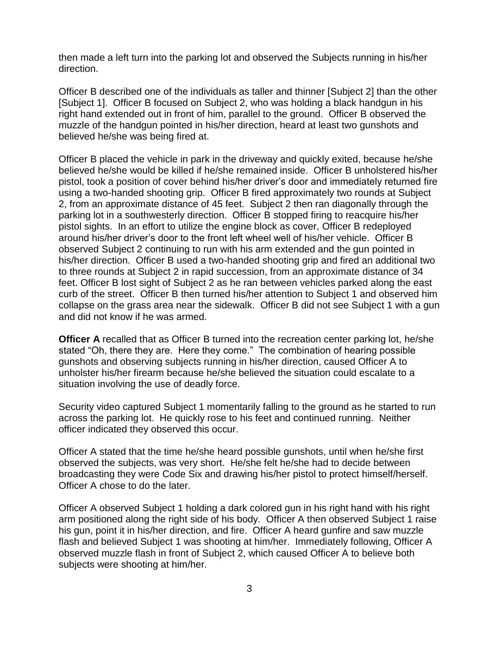then made a left turn into the parking lot and observed the Subjects running in his/her direction.

Officer B described one of the individuals as taller and thinner [Subject 2] than the other [Subject 1]. Officer B focused on Subject 2, who was holding a black handgun in his right hand extended out in front of him, parallel to the ground. Officer B observed the muzzle of the handgun pointed in his/her direction, heard at least two gunshots and believed he/she was being fired at.

Officer B placed the vehicle in park in the driveway and quickly exited, because he/she believed he/she would be killed if he/she remained inside. Officer B unholstered his/her pistol, took a position of cover behind his/her driver's door and immediately returned fire using a two-handed shooting grip. Officer B fired approximately two rounds at Subject 2, from an approximate distance of 45 feet. Subject 2 then ran diagonally through the parking lot in a southwesterly direction. Officer B stopped firing to reacquire his/her pistol sights. In an effort to utilize the engine block as cover, Officer B redeployed around his/her driver's door to the front left wheel well of his/her vehicle. Officer B observed Subject 2 continuing to run with his arm extended and the gun pointed in his/her direction. Officer B used a two-handed shooting grip and fired an additional two to three rounds at Subject 2 in rapid succession, from an approximate distance of 34 feet. Officer B lost sight of Subject 2 as he ran between vehicles parked along the east curb of the street. Officer B then turned his/her attention to Subject 1 and observed him collapse on the grass area near the sidewalk. Officer B did not see Subject 1 with a gun and did not know if he was armed.

**Officer A** recalled that as Officer B turned into the recreation center parking lot, he/she stated "Oh, there they are. Here they come." The combination of hearing possible gunshots and observing subjects running in his/her direction, caused Officer A to unholster his/her firearm because he/she believed the situation could escalate to a situation involving the use of deadly force.

Security video captured Subject 1 momentarily falling to the ground as he started to run across the parking lot. He quickly rose to his feet and continued running. Neither officer indicated they observed this occur.

Officer A stated that the time he/she heard possible gunshots, until when he/she first observed the subjects, was very short. He/she felt he/she had to decide between broadcasting they were Code Six and drawing his/her pistol to protect himself/herself. Officer A chose to do the later.

Officer A observed Subject 1 holding a dark colored gun in his right hand with his right arm positioned along the right side of his body. Officer A then observed Subject 1 raise his gun, point it in his/her direction, and fire. Officer A heard gunfire and saw muzzle flash and believed Subject 1 was shooting at him/her. Immediately following, Officer A observed muzzle flash in front of Subject 2, which caused Officer A to believe both subjects were shooting at him/her.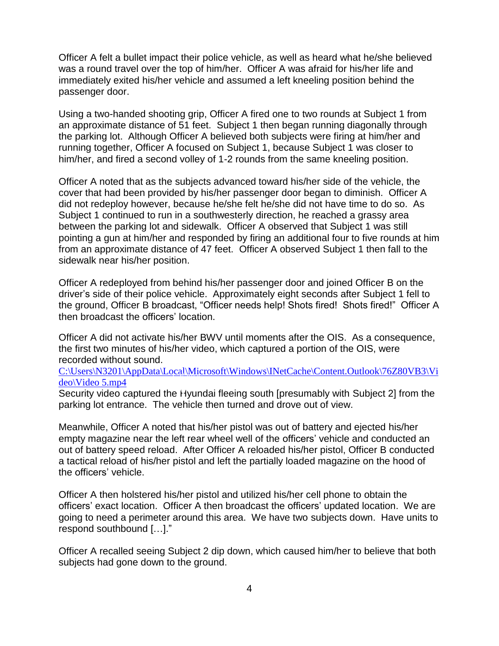Officer A felt a bullet impact their police vehicle, as well as heard what he/she believed was a round travel over the top of him/her. Officer A was afraid for his/her life and immediately exited his/her vehicle and assumed a left kneeling position behind the passenger door.

Using a two-handed shooting grip, Officer A fired one to two rounds at Subject 1 from an approximate distance of 51 feet. Subject 1 then began running diagonally through the parking lot. Although Officer A believed both subjects were firing at him/her and running together, Officer A focused on Subject 1, because Subject 1 was closer to him/her, and fired a second volley of 1-2 rounds from the same kneeling position.

Officer A noted that as the subjects advanced toward his/her side of the vehicle, the cover that had been provided by his/her passenger door began to diminish. Officer A did not redeploy however, because he/she felt he/she did not have time to do so. As Subject 1 continued to run in a southwesterly direction, he reached a grassy area between the parking lot and sidewalk. Officer A observed that Subject 1 was still pointing a gun at him/her and responded by firing an additional four to five rounds at him from an approximate distance of 47 feet. Officer A observed Subject 1 then fall to the sidewalk near his/her position.

Officer A redeployed from behind his/her passenger door and joined Officer B on the driver's side of their police vehicle. Approximately eight seconds after Subject 1 fell to the ground, Officer B broadcast, "Officer needs help! Shots fired! Shots fired!" Officer A then broadcast the officers' location.

Officer A did not activate his/her BWV until moments after the OIS. As a consequence, the first two minutes of his/her video, which captured a portion of the OIS, were recorded without sound.

[C:\Users\N3201\AppData\Local\Microsoft\Windows\INetCache\Content.Outlook\76Z80VB3\Vi](file:///C:/Users/N3201/AppData/Local/Microsoft/Windows/INetCache/Content.Outlook/76Z80VB3/Video/Video%205.mp4) [deo\Video 5.mp4](file:///C:/Users/N3201/AppData/Local/Microsoft/Windows/INetCache/Content.Outlook/76Z80VB3/Video/Video%205.mp4)

Security video captured the Hyundai fleeing south [presumably with Subject 2] from the parking lot entrance. The vehicle then turned and drove out of view.

Meanwhile, Officer A noted that his/her pistol was out of battery and ejected his/her empty magazine near the left rear wheel well of the officers' vehicle and conducted an out of battery speed reload. After Officer A reloaded his/her pistol, Officer B conducted a tactical reload of his/her pistol and left the partially loaded magazine on the hood of the officers' vehicle.

Officer A then holstered his/her pistol and utilized his/her cell phone to obtain the officers' exact location. Officer A then broadcast the officers' updated location. We are going to need a perimeter around this area. We have two subjects down. Have units to respond southbound […]."

Officer A recalled seeing Subject 2 dip down, which caused him/her to believe that both subjects had gone down to the ground.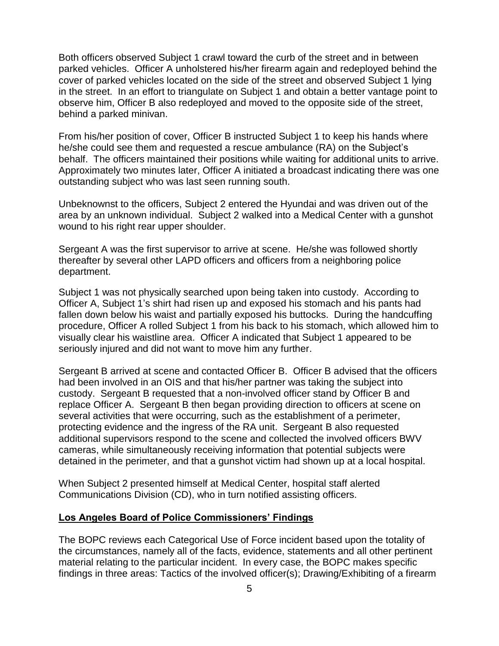Both officers observed Subject 1 crawl toward the curb of the street and in between parked vehicles. Officer A unholstered his/her firearm again and redeployed behind the cover of parked vehicles located on the side of the street and observed Subject 1 lying in the street. In an effort to triangulate on Subject 1 and obtain a better vantage point to observe him, Officer B also redeployed and moved to the opposite side of the street, behind a parked minivan.

From his/her position of cover, Officer B instructed Subject 1 to keep his hands where he/she could see them and requested a rescue ambulance (RA) on the Subject's behalf. The officers maintained their positions while waiting for additional units to arrive. Approximately two minutes later, Officer A initiated a broadcast indicating there was one outstanding subject who was last seen running south.

Unbeknownst to the officers, Subject 2 entered the Hyundai and was driven out of the area by an unknown individual. Subject 2 walked into a Medical Center with a gunshot wound to his right rear upper shoulder.

Sergeant A was the first supervisor to arrive at scene. He/she was followed shortly thereafter by several other LAPD officers and officers from a neighboring police department.

Subject 1 was not physically searched upon being taken into custody. According to Officer A, Subject 1's shirt had risen up and exposed his stomach and his pants had fallen down below his waist and partially exposed his buttocks. During the handcuffing procedure, Officer A rolled Subject 1 from his back to his stomach, which allowed him to visually clear his waistline area. Officer A indicated that Subject 1 appeared to be seriously injured and did not want to move him any further.

Sergeant B arrived at scene and contacted Officer B. Officer B advised that the officers had been involved in an OIS and that his/her partner was taking the subject into custody. Sergeant B requested that a non-involved officer stand by Officer B and replace Officer A. Sergeant B then began providing direction to officers at scene on several activities that were occurring, such as the establishment of a perimeter, protecting evidence and the ingress of the RA unit. Sergeant B also requested additional supervisors respond to the scene and collected the involved officers BWV cameras, while simultaneously receiving information that potential subjects were detained in the perimeter, and that a gunshot victim had shown up at a local hospital.

When Subject 2 presented himself at Medical Center, hospital staff alerted Communications Division (CD), who in turn notified assisting officers.

#### **Los Angeles Board of Police Commissioners' Findings**

The BOPC reviews each Categorical Use of Force incident based upon the totality of the circumstances, namely all of the facts, evidence, statements and all other pertinent material relating to the particular incident. In every case, the BOPC makes specific findings in three areas: Tactics of the involved officer(s); Drawing/Exhibiting of a firearm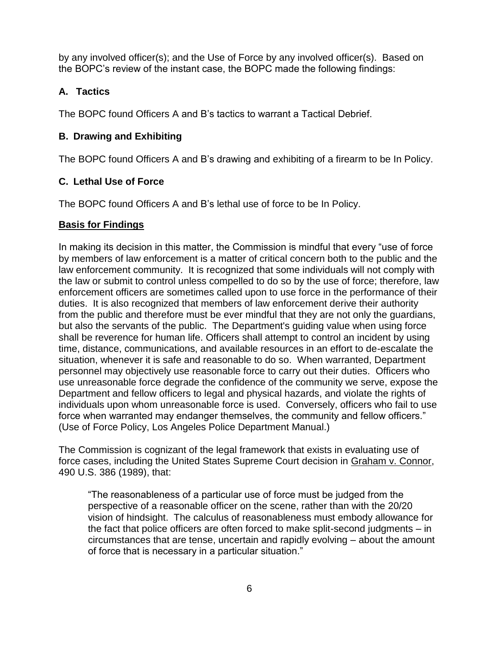by any involved officer(s); and the Use of Force by any involved officer(s). Based on the BOPC's review of the instant case, the BOPC made the following findings:

# **A. Tactics**

The BOPC found Officers A and B's tactics to warrant a Tactical Debrief.

# **B. Drawing and Exhibiting**

The BOPC found Officers A and B's drawing and exhibiting of a firearm to be In Policy.

# **C. Lethal Use of Force**

The BOPC found Officers A and B's lethal use of force to be In Policy.

# **Basis for Findings**

In making its decision in this matter, the Commission is mindful that every "use of force by members of law enforcement is a matter of critical concern both to the public and the law enforcement community. It is recognized that some individuals will not comply with the law or submit to control unless compelled to do so by the use of force; therefore, law enforcement officers are sometimes called upon to use force in the performance of their duties. It is also recognized that members of law enforcement derive their authority from the public and therefore must be ever mindful that they are not only the guardians, but also the servants of the public. The Department's guiding value when using force shall be reverence for human life. Officers shall attempt to control an incident by using time, distance, communications, and available resources in an effort to de-escalate the situation, whenever it is safe and reasonable to do so. When warranted, Department personnel may objectively use reasonable force to carry out their duties. Officers who use unreasonable force degrade the confidence of the community we serve, expose the Department and fellow officers to legal and physical hazards, and violate the rights of individuals upon whom unreasonable force is used. Conversely, officers who fail to use force when warranted may endanger themselves, the community and fellow officers." (Use of Force Policy, Los Angeles Police Department Manual.)

The Commission is cognizant of the legal framework that exists in evaluating use of force cases, including the United States Supreme Court decision in Graham v. Connor, 490 U.S. 386 (1989), that:

"The reasonableness of a particular use of force must be judged from the perspective of a reasonable officer on the scene, rather than with the 20/20 vision of hindsight. The calculus of reasonableness must embody allowance for the fact that police officers are often forced to make split-second judgments – in circumstances that are tense, uncertain and rapidly evolving – about the amount of force that is necessary in a particular situation."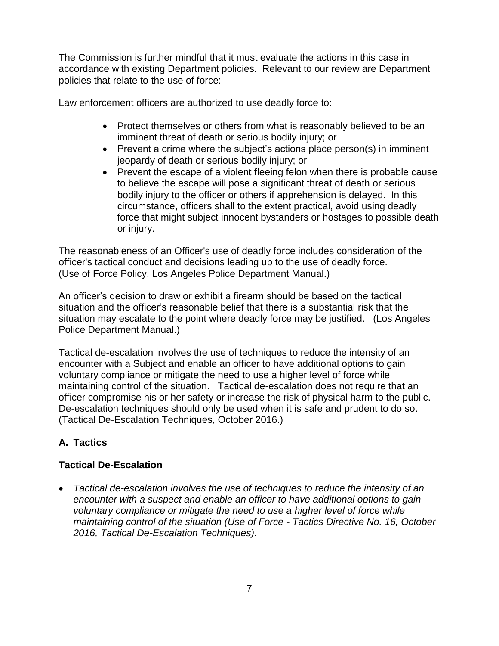The Commission is further mindful that it must evaluate the actions in this case in accordance with existing Department policies. Relevant to our review are Department policies that relate to the use of force:

Law enforcement officers are authorized to use deadly force to:

- Protect themselves or others from what is reasonably believed to be an imminent threat of death or serious bodily injury; or
- Prevent a crime where the subject's actions place person(s) in imminent jeopardy of death or serious bodily injury; or
- Prevent the escape of a violent fleeing felon when there is probable cause to believe the escape will pose a significant threat of death or serious bodily injury to the officer or others if apprehension is delayed. In this circumstance, officers shall to the extent practical, avoid using deadly force that might subject innocent bystanders or hostages to possible death or injury.

The reasonableness of an Officer's use of deadly force includes consideration of the officer's tactical conduct and decisions leading up to the use of deadly force. (Use of Force Policy, Los Angeles Police Department Manual.)

An officer's decision to draw or exhibit a firearm should be based on the tactical situation and the officer's reasonable belief that there is a substantial risk that the situation may escalate to the point where deadly force may be justified. (Los Angeles Police Department Manual.)

Tactical de-escalation involves the use of techniques to reduce the intensity of an encounter with a Subject and enable an officer to have additional options to gain voluntary compliance or mitigate the need to use a higher level of force while maintaining control of the situation. Tactical de-escalation does not require that an officer compromise his or her safety or increase the risk of physical harm to the public. De-escalation techniques should only be used when it is safe and prudent to do so. (Tactical De-Escalation Techniques, October 2016.)

# **A. Tactics**

# **Tactical De-Escalation**

• *Tactical de-escalation involves the use of techniques to reduce the intensity of an encounter with a suspect and enable an officer to have additional options to gain voluntary compliance or mitigate the need to use a higher level of force while maintaining control of the situation (Use of Force - Tactics Directive No. 16, October 2016, Tactical De-Escalation Techniques).*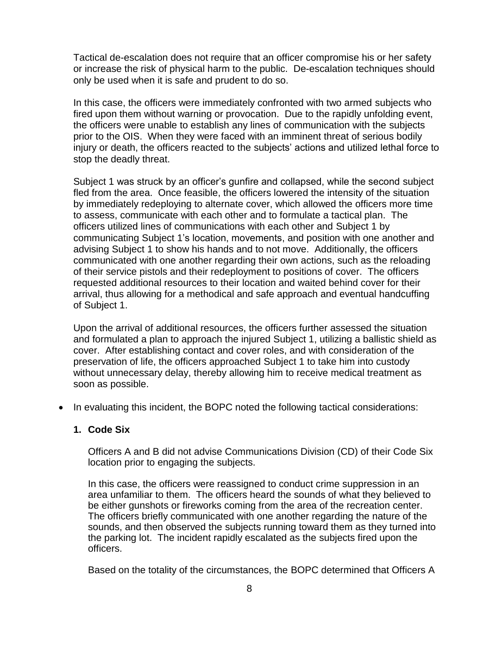Tactical de-escalation does not require that an officer compromise his or her safety or increase the risk of physical harm to the public. De-escalation techniques should only be used when it is safe and prudent to do so.

In this case, the officers were immediately confronted with two armed subjects who fired upon them without warning or provocation. Due to the rapidly unfolding event, the officers were unable to establish any lines of communication with the subjects prior to the OIS. When they were faced with an imminent threat of serious bodily injury or death, the officers reacted to the subjects' actions and utilized lethal force to stop the deadly threat.

Subject 1 was struck by an officer's gunfire and collapsed, while the second subject fled from the area. Once feasible, the officers lowered the intensity of the situation by immediately redeploying to alternate cover, which allowed the officers more time to assess, communicate with each other and to formulate a tactical plan. The officers utilized lines of communications with each other and Subject 1 by communicating Subject 1's location, movements, and position with one another and advising Subject 1 to show his hands and to not move. Additionally, the officers communicated with one another regarding their own actions, such as the reloading of their service pistols and their redeployment to positions of cover. The officers requested additional resources to their location and waited behind cover for their arrival, thus allowing for a methodical and safe approach and eventual handcuffing of Subject 1.

Upon the arrival of additional resources, the officers further assessed the situation and formulated a plan to approach the injured Subject 1, utilizing a ballistic shield as cover. After establishing contact and cover roles, and with consideration of the preservation of life, the officers approached Subject 1 to take him into custody without unnecessary delay, thereby allowing him to receive medical treatment as soon as possible.

• In evaluating this incident, the BOPC noted the following tactical considerations:

## **1. Code Six**

Officers A and B did not advise Communications Division (CD) of their Code Six location prior to engaging the subjects.

In this case, the officers were reassigned to conduct crime suppression in an area unfamiliar to them. The officers heard the sounds of what they believed to be either gunshots or fireworks coming from the area of the recreation center. The officers briefly communicated with one another regarding the nature of the sounds, and then observed the subjects running toward them as they turned into the parking lot. The incident rapidly escalated as the subjects fired upon the officers.

Based on the totality of the circumstances, the BOPC determined that Officers A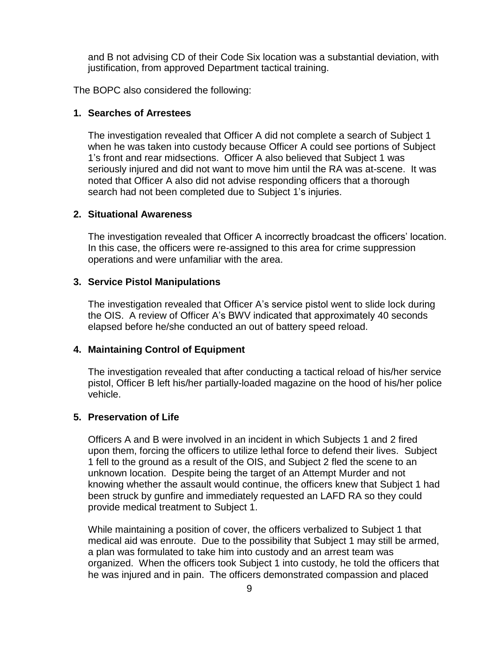and B not advising CD of their Code Six location was a substantial deviation, with justification, from approved Department tactical training.

The BOPC also considered the following:

#### **1. Searches of Arrestees**

The investigation revealed that Officer A did not complete a search of Subject 1 when he was taken into custody because Officer A could see portions of Subject 1's front and rear midsections. Officer A also believed that Subject 1 was seriously injured and did not want to move him until the RA was at-scene. It was noted that Officer A also did not advise responding officers that a thorough search had not been completed due to Subject 1's injuries.

#### **2. Situational Awareness**

The investigation revealed that Officer A incorrectly broadcast the officers' location. In this case, the officers were re-assigned to this area for crime suppression operations and were unfamiliar with the area.

#### **3. Service Pistol Manipulations**

The investigation revealed that Officer A's service pistol went to slide lock during the OIS. A review of Officer A's BWV indicated that approximately 40 seconds elapsed before he/she conducted an out of battery speed reload.

## **4. Maintaining Control of Equipment**

The investigation revealed that after conducting a tactical reload of his/her service pistol, Officer B left his/her partially-loaded magazine on the hood of his/her police vehicle.

#### **5. Preservation of Life**

Officers A and B were involved in an incident in which Subjects 1 and 2 fired upon them, forcing the officers to utilize lethal force to defend their lives. Subject 1 fell to the ground as a result of the OIS, and Subject 2 fled the scene to an unknown location. Despite being the target of an Attempt Murder and not knowing whether the assault would continue, the officers knew that Subject 1 had been struck by gunfire and immediately requested an LAFD RA so they could provide medical treatment to Subject 1.

While maintaining a position of cover, the officers verbalized to Subject 1 that medical aid was enroute. Due to the possibility that Subject 1 may still be armed, a plan was formulated to take him into custody and an arrest team was organized. When the officers took Subject 1 into custody, he told the officers that he was injured and in pain. The officers demonstrated compassion and placed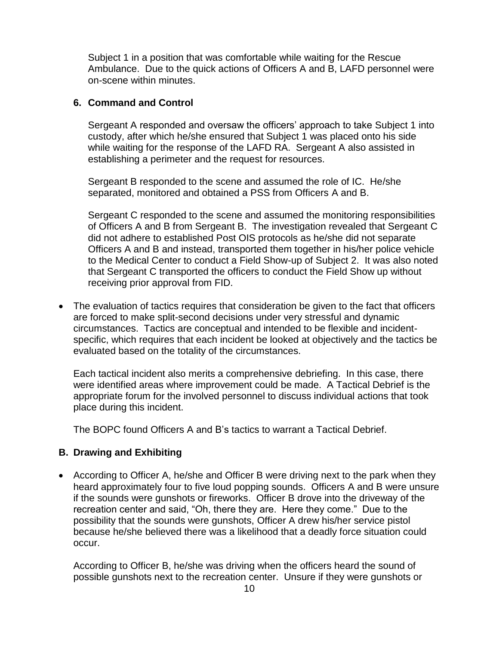Subject 1 in a position that was comfortable while waiting for the Rescue Ambulance. Due to the quick actions of Officers A and B, LAFD personnel were on-scene within minutes.

#### **6. Command and Control**

Sergeant A responded and oversaw the officers' approach to take Subject 1 into custody, after which he/she ensured that Subject 1 was placed onto his side while waiting for the response of the LAFD RA. Sergeant A also assisted in establishing a perimeter and the request for resources.

Sergeant B responded to the scene and assumed the role of IC. He/she separated, monitored and obtained a PSS from Officers A and B.

Sergeant C responded to the scene and assumed the monitoring responsibilities of Officers A and B from Sergeant B. The investigation revealed that Sergeant C did not adhere to established Post OIS protocols as he/she did not separate Officers A and B and instead, transported them together in his/her police vehicle to the Medical Center to conduct a Field Show-up of Subject 2. It was also noted that Sergeant C transported the officers to conduct the Field Show up without receiving prior approval from FID.

• The evaluation of tactics requires that consideration be given to the fact that officers are forced to make split-second decisions under very stressful and dynamic circumstances. Tactics are conceptual and intended to be flexible and incidentspecific, which requires that each incident be looked at objectively and the tactics be evaluated based on the totality of the circumstances.

Each tactical incident also merits a comprehensive debriefing. In this case, there were identified areas where improvement could be made. A Tactical Debrief is the appropriate forum for the involved personnel to discuss individual actions that took place during this incident.

The BOPC found Officers A and B's tactics to warrant a Tactical Debrief.

#### **B. Drawing and Exhibiting**

• According to Officer A, he/she and Officer B were driving next to the park when they heard approximately four to five loud popping sounds. Officers A and B were unsure if the sounds were gunshots or fireworks. Officer B drove into the driveway of the recreation center and said, "Oh, there they are. Here they come." Due to the possibility that the sounds were gunshots, Officer A drew his/her service pistol because he/she believed there was a likelihood that a deadly force situation could occur.

According to Officer B, he/she was driving when the officers heard the sound of possible gunshots next to the recreation center. Unsure if they were gunshots or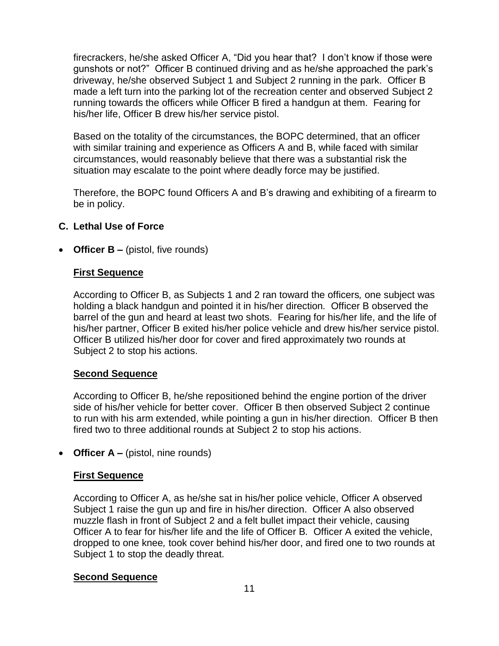firecrackers, he/she asked Officer A, "Did you hear that? I don't know if those were gunshots or not?" Officer B continued driving and as he/she approached the park's driveway, he/she observed Subject 1 and Subject 2 running in the park. Officer B made a left turn into the parking lot of the recreation center and observed Subject 2 running towards the officers while Officer B fired a handgun at them. Fearing for his/her life, Officer B drew his/her service pistol.

Based on the totality of the circumstances, the BOPC determined, that an officer with similar training and experience as Officers A and B, while faced with similar circumstances, would reasonably believe that there was a substantial risk the situation may escalate to the point where deadly force may be justified.

Therefore, the BOPC found Officers A and B's drawing and exhibiting of a firearm to be in policy.

## **C. Lethal Use of Force**

• **Officer B** – (pistol, five rounds)

## **First Sequence**

According to Officer B, as Subjects 1 and 2 ran toward the officers*,* one subject was holding a black handgun and pointed it in his/her direction*.* Officer B observed the barrel of the gun and heard at least two shots.Fearing for his/her life, and the life of his/her partner, Officer B exited his/her police vehicle and drew his/her service pistol. Officer B utilized his/her door for cover and fired approximately two rounds at Subject 2 to stop his actions.

#### **Second Sequence**

According to Officer B, he/she repositioned behind the engine portion of the driver side of his/her vehicle for better cover. Officer B then observed Subject 2 continue to run with his arm extended, while pointing a gun in his/her direction. Officer B then fired two to three additional rounds at Subject 2 to stop his actions.

• **Officer A** – (pistol, nine rounds)

#### **First Sequence**

According to Officer A, as he/she sat in his/her police vehicle, Officer A observed Subject 1 raise the gun up and fire in his/her direction.Officer A also observed muzzle flash in front of Subject 2 and a felt bullet impact their vehicle, causing Officer A to fear for his/her life and the life of Officer B*.* Officer A exited the vehicle, dropped to one knee*,* took cover behind his/her door, and fired one to two rounds at Subject 1 to stop the deadly threat.

#### **Second Sequence**